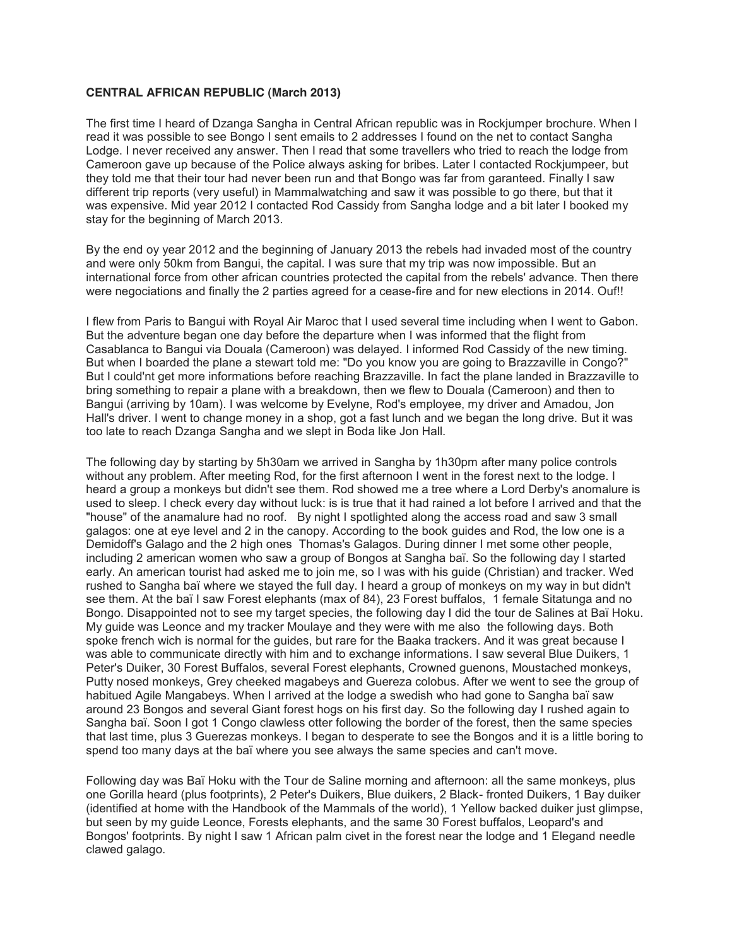## **CENTRAL AFRICAN REPUBLIC (March 2013)**

The first time I heard of Dzanga Sangha in Central African republic was in Rockjumper brochure. When I read it was possible to see Bongo I sent emails to 2 addresses I found on the net to contact Sangha Lodge. I never received any answer. Then I read that some travellers who tried to reach the lodge from Cameroon gave up because of the Police always asking for bribes. Later I contacted Rockjumpeer, but they told me that their tour had never been run and that Bongo was far from garanteed. Finally I saw different trip reports (very useful) in Mammalwatching and saw it was possible to go there, but that it was expensive. Mid year 2012 I contacted Rod Cassidy from Sangha lodge and a bit later I booked my stay for the beginning of March 2013.

By the end oy year 2012 and the beginning of January 2013 the rebels had invaded most of the country and were only 50km from Bangui, the capital. I was sure that my trip was now impossible. But an international force from other african countries protected the capital from the rebels' advance. Then there were negociations and finally the 2 parties agreed for a cease-fire and for new elections in 2014. Ouf!!

I flew from Paris to Bangui with Royal Air Maroc that I used several time including when I went to Gabon. But the adventure began one day before the departure when I was informed that the flight from Casablanca to Bangui via Douala (Cameroon) was delayed. I informed Rod Cassidy of the new timing. But when I boarded the plane a stewart told me: "Do you know you are going to Brazzaville in Congo?" But I could'nt get more informations before reaching Brazzaville. In fact the plane landed in Brazzaville to bring something to repair a plane with a breakdown, then we flew to Douala (Cameroon) and then to Bangui (arriving by 10am). I was welcome by Evelyne, Rod's employee, my driver and Amadou, Jon Hall's driver. I went to change money in a shop, got a fast lunch and we began the long drive. But it was too late to reach Dzanga Sangha and we slept in Boda like Jon Hall.

The following day by starting by 5h30am we arrived in Sangha by 1h30pm after many police controls without any problem. After meeting Rod, for the first afternoon I went in the forest next to the lodge. I heard a group a monkeys but didn't see them. Rod showed me a tree where a Lord Derby's anomalure is used to sleep. I check every day without luck: is is true that it had rained a lot before I arrived and that the "house" of the anamalure had no roof. By night I spotlighted along the access road and saw 3 small galagos: one at eye level and 2 in the canopy. According to the book guides and Rod, the low one is a Demidoff's Galago and the 2 high ones Thomas's Galagos. During dinner I met some other people, including 2 american women who saw a group of Bongos at Sangha baï. So the following day I started early. An american tourist had asked me to join me, so I was with his guide (Christian) and tracker. Wed rushed to Sangha baï where we stayed the full day. I heard a group of monkeys on my way in but didn't see them. At the baï I saw Forest elephants (max of 84), 23 Forest buffalos, 1 female Sitatunga and no Bongo. Disappointed not to see my target species, the following day I did the tour de Salines at Baï Hoku. My guide was Leonce and my tracker Moulaye and they were with me also the following days. Both spoke french wich is normal for the guides, but rare for the Baaka trackers. And it was great because I was able to communicate directly with him and to exchange informations. I saw several Blue Duikers, 1 Peter's Duiker, 30 Forest Buffalos, several Forest elephants, Crowned guenons, Moustached monkeys, Putty nosed monkeys, Grey cheeked magabeys and Guereza colobus. After we went to see the group of habitued Agile Mangabeys. When I arrived at the lodge a swedish who had gone to Sangha baï saw around 23 Bongos and several Giant forest hogs on his first day. So the following day I rushed again to Sangha baï. Soon I got 1 Congo clawless otter following the border of the forest, then the same species that last time, plus 3 Guerezas monkeys. I began to desperate to see the Bongos and it is a little boring to spend too many days at the baï where you see always the same species and can't move.

Following day was Baï Hoku with the Tour de Saline morning and afternoon: all the same monkeys, plus one Gorilla heard (plus footprints), 2 Peter's Duikers, Blue duikers, 2 Black- fronted Duikers, 1 Bay duiker (identified at home with the Handbook of the Mammals of the world), 1 Yellow backed duiker just glimpse, but seen by my guide Leonce, Forests elephants, and the same 30 Forest buffalos, Leopard's and Bongos' footprints. By night I saw 1 African palm civet in the forest near the lodge and 1 Elegand needle clawed galago.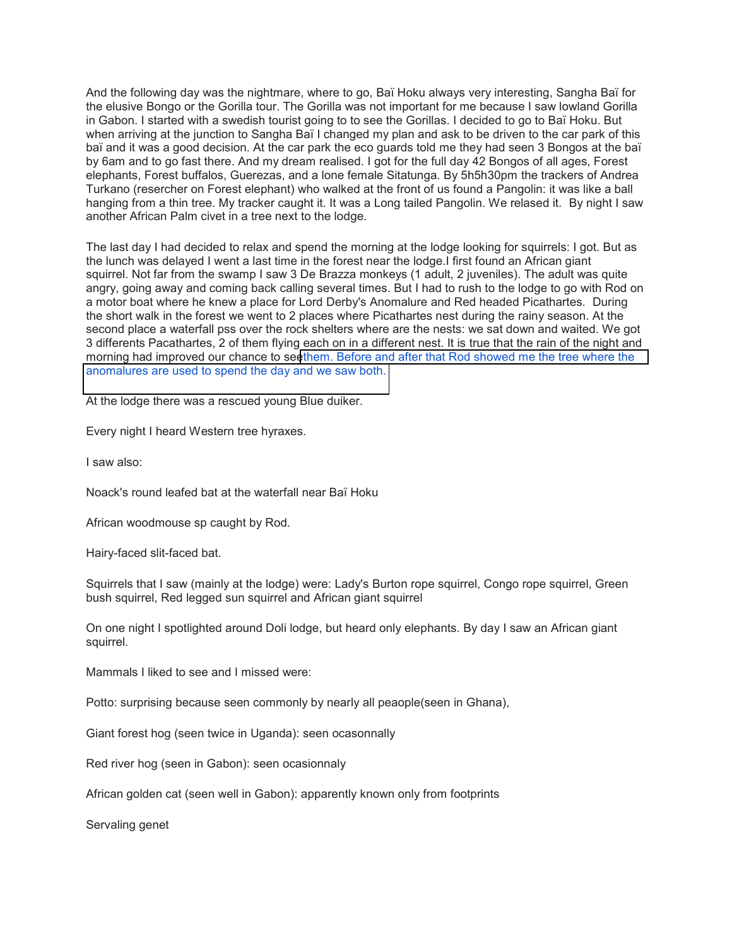And the following day was the nightmare, where to go, Baï Hoku always very interesting, Sangha Baï for the elusive Bongo or the Gorilla tour. The Gorilla was not important for me because I saw lowland Gorilla in Gabon. I started with a swedish tourist going to to see the Gorillas. I decided to go to Baï Hoku. But when arriving at the junction to Sangha Baï I changed my plan and ask to be driven to the car park of this baï and it was a good decision. At the car park the eco guards told me they had seen 3 Bongos at the baï by 6am and to go fast there. And my dream realised. I got for the full day 42 Bongos of all ages, Forest elephants, Forest buffalos, Guerezas, and a lone female Sitatunga. By 5h5h30pm the trackers of Andrea Turkano (resercher on Forest elephant) who walked at the front of us found a Pangolin: it was like a ball hanging from a thin tree. My tracker caught it. It was a Long tailed Pangolin. We relased it. By night I saw another African Palm civet in a tree next to the lodge.

The last day I had decided to relax and spend the morning at the lodge looking for squirrels: I got. But as the lunch was delayed I went a last time in the forest near the lodge.I first found an African giant squirrel. Not far from the swamp I saw 3 De Brazza monkeys (1 adult, 2 juveniles). The adult was quite angry, going away and coming back calling several times. But I had to rush to the lodge to go with Rod on a motor boat where he knew a place for Lord Derby's Anomalure and Red headed Picathartes. During the short walk in the forest we went to 2 places where Picathartes nest during the rainy season. At the second place a waterfall pss over the rock shelters where are the nests: we sat down and waited. We got 3 differents Pacathartes, 2 of them flying each on in a different nest. It is true that the rain of the night and morning had improved our chance to se[ethem. Before and after that Rod showed me the tree where the](http://www.mailforgood.com/#utm_source=SFR)  [anomalures are used to spend the day and we saw both.](http://www.mailforgood.com/#utm_source=SFR)

At the lodge there was a rescued young Blue duiker.

Every night I heard Western tree hyraxes.

I saw also:

Noack's round leafed bat at the waterfall near Baï Hoku

African woodmouse sp caught by Rod.

Hairy-faced slit-faced bat.

Squirrels that I saw (mainly at the lodge) were: Lady's Burton rope squirrel, Congo rope squirrel, Green bush squirrel, Red legged sun squirrel and African giant squirrel

On one night I spotlighted around Doli lodge, but heard only elephants. By day I saw an African giant squirrel.

Mammals I liked to see and I missed were:

Potto: surprising because seen commonly by nearly all peaople(seen in Ghana),

Giant forest hog (seen twice in Uganda): seen ocasonnally

Red river hog (seen in Gabon): seen ocasionnaly

African golden cat (seen well in Gabon): apparently known only from footprints

Servaling genet